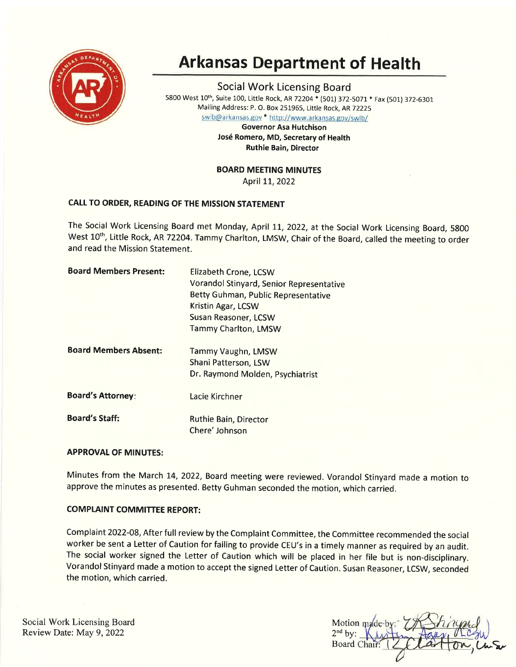

# Arkansas Department of Health

Social Work Licensing Board 5800 West 10<sup>th</sup>, Suite 100, Little Rock, AR 72204 \* (501) 372-5071 \* Fax (501) 372-6301 Mailing Address: P. O. Box 251965, Little Rock, AR72225

swlb@arkansas.gov \* http://www.arkansas.gov/swlb/

Governor Asa Hutchison José Romero, MD, Secretary of Health Ruthie Bain, Director

BOARD MEETING MINUTES

April 11, 2022

# CALL TO ORDER, READING OF THE MISSION STATEMENT

The Social Work Licensing Board met Monday, April 11, 2022, at the Social Work Licensing Board, 5800 West 10<sup>th</sup>, Little Rock, AR 72204. Tammy Charlton, LMSW, Chair of the Board, called the meeting to order and read the Mission Statement.

| <b>Board Members Present:</b> | Elizabeth Crone, LCSW                    |  |
|-------------------------------|------------------------------------------|--|
|                               | Vorandol Stinyard, Senior Representative |  |
|                               | Betty Guhman, Public Representative      |  |
|                               | Kristin Agar, LCSW                       |  |
|                               | Susan Reasoner, LCSW                     |  |
|                               | <b>Tammy Charlton, LMSW</b>              |  |
| <b>Board Members Absent:</b>  | <b>Tammy Vaughn, LMSW</b>                |  |
|                               | Shani Patterson, LSW                     |  |
|                               | Dr. Raymond Molden, Psychiatrist         |  |
| <b>Board's Attorney:</b>      | Lacie Kirchner                           |  |
| <b>Board's Staff:</b>         | Ruthie Bain, Director                    |  |
|                               | Chere' Johnson                           |  |
|                               |                                          |  |

# **APPROVAL OF MINUTES:**

Minutes from the March 14,2022, Board meeting were reviewed. Vorandol Stinyard made a motion to approve the minutes as presented. Betty Guhman seconded the motion, which carried.

# **COMPLAINT COMMITTEE REPORT:**

Complaint 2O22-O8, After full review by the Complaint Committee, the Committee recommended the social worker be sent a Letter of Caution for failing to provide CEU's in a timely manner as required by an audit. The social worker signed the Letter of Caution which will be placed in her file but is non-disciplinary. Vorandol Stinyard made a motion to accept the signed Letter of Caution. Susan Reasoner, LCSW, seconded the motion, which carried.

Social Work Licensing Board Review Date: May 9,2022

Motion made-b  $2<sup>nd</sup>$  by: Board Chair: Zalaton, Cu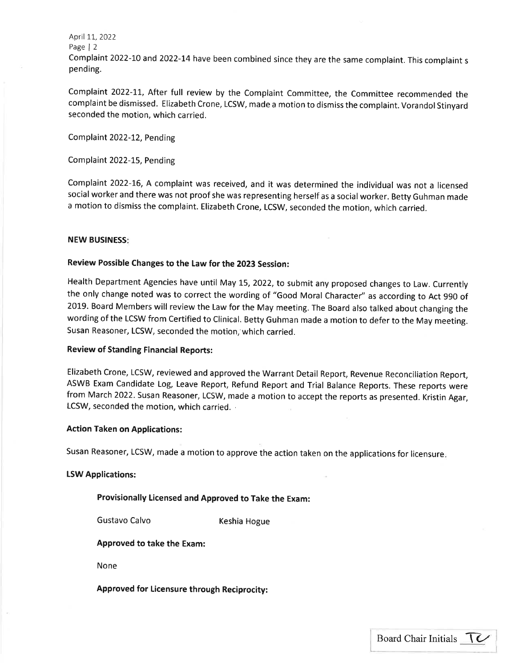April 11, 2022 Page | <sup>2</sup> Complaint 2022-10 and 2022-14 have been combined since they are the same complaint. This complaint <sup>s</sup> pending.

Complaint 2022-11, After full review by the Complaint Committee, the Committee recommended the complaint be dismissed. Elizabeth Crone, LCSW, made a motion to dismiss the complaint. Vorandol Stinyard seconded the motion, which carried.

Complaint 2022-12, Pending

Complaint 2022-15, Pending

Complaint 2O22-L6, A complaint was received, and it was determined the individual was not a licensed social worker and there was not proof she was representing herself as a social worker. Betty Guhman made <sup>a</sup>motion to dismiss the complaint. Elizabeth Crone, LCSW, seconded the motion, which carried.

### NEW BUSINESS

# Review Possible Changes to the Law for the 2023 Session:

Health Department Agencies have until May 15, 2022, to submit any proposed changes to Law. Currently the only change noted was to correct the wording of "Good Moral Character" as according to Act 990 of 2019. Board Members will review the Law for the May meeting. The Board also talked about changing the wording of the LCSW from Certified to Clinical. Betty Guhman made a motion to defer to the May meeting. Susan Reasoner, LCSW, seconded the motion,'which carried.

### Review of Standing Financial Reports:

Elizabeth Crone, LCSW, reviewed and approved the Warrant Detail Report, Revenue Reconciliation Report, ASWB Exam Candidate Log, Leave Report, Refund Report and Trial Balance Reports. These reports were from March 2022. Susan Reasoner, LCSW, made a motion to accept the reports as presented. Kristin Agar, LCSW, seconded the motion, which carried.

### Action Taken on Applications:

Susan Reasoner, LCSW, made a motion to approve the action taken on the applications for licensure

### LSW Applications:

### Provisionally Licensed and Approved to Take the Exam:

Gustavo Calvo **Keshia Hogue** 

Approved to take the Exam:

None

Approved for Licensure through Reciprocity: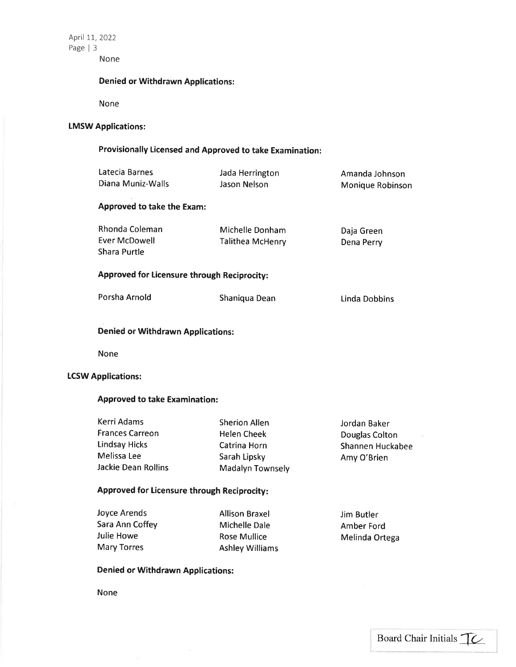April 11, 2022 Page | <sup>3</sup>

None

# Denied or Withdrawn Applications:

None

# LMSW Applications:

# Provisionally Licensed and Approved to take Examination:

| Latecia Barnes<br>Diana Muniz-Walls             | Jada Herrington<br>Jason Nelson     | Amanda Johnson<br>Monique Robinson |  |  |
|-------------------------------------------------|-------------------------------------|------------------------------------|--|--|
| <b>Approved to take the Exam:</b>               |                                     |                                    |  |  |
| Rhonda Coleman<br>Ever McDowell<br>Shara Purtle | Michelle Donham<br>Talithea McHenry | Daja Green<br>Dena Perry           |  |  |
| Approved for Licensure through Reciprocity:     |                                     |                                    |  |  |
| Porsha Arnold                                   | Shaniqua Dean                       | Linda Dobbins                      |  |  |
| <b>Denied or Withdrawn Applications:</b>        |                                     |                                    |  |  |
| <b>None</b>                                     |                                     |                                    |  |  |

### **LCSW Applications:**

# Approved to take Examination:

| Kerri Adams            | <b>Sherion Allen</b>    | Jordan Baker     |
|------------------------|-------------------------|------------------|
| <b>Frances Carreon</b> | <b>Helen Cheek</b>      | Douglas Colton   |
| <b>Lindsay Hicks</b>   | Catrina Horn            | Shannen Huckabee |
| Melissa Lee            | Sarah Lipsky            | Amy O'Brien      |
| Jackie Dean Rollins    | <b>Madalyn Townsely</b> |                  |
|                        |                         |                  |

# Approved for licensure through Reciprocity

| Joyce Arends    | <b>Allison Braxel</b>  | Jim Butler     |
|-----------------|------------------------|----------------|
| Sara Ann Coffey | Michelle Dale          | Amber Ford     |
| Julie Howe      | Rose Mullice           | Melinda Ortega |
| Mary Torres     | <b>Ashley Williams</b> |                |

# Denied or Withdrawn Applications:

None

 $\overline{\alpha}$  (

I